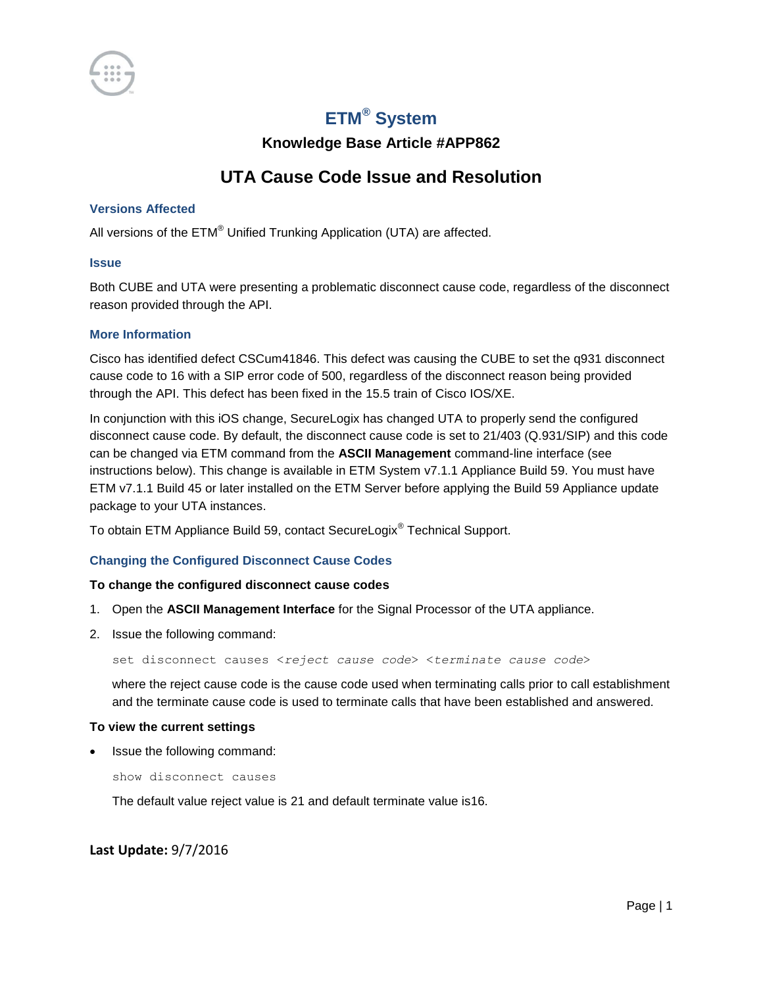

# **ETM® System**

**Knowledge Base Article #APP862**

## **UTA Cause Code Issue and Resolution**

### **Versions Affected**

All versions of the ETM® Unified Trunking Application (UTA) are affected.

#### **Issue**

Both CUBE and UTA were presenting a problematic disconnect cause code, regardless of the disconnect reason provided through the API.

#### **More Information**

Cisco has identified defect CSCum41846. This defect was causing the CUBE to set the q931 disconnect cause code to 16 with a SIP error code of 500, regardless of the disconnect reason being provided through the API. This defect has been fixed in the 15.5 train of Cisco IOS/XE.

In conjunction with this iOS change, SecureLogix has changed UTA to properly send the configured disconnect cause code. By default, the disconnect cause code is set to 21/403 (Q.931/SIP) and this code can be changed via ETM command from the **ASCII Management** command-line interface (see instructions below). This change is available in ETM System v7.1.1 Appliance Build 59. You must have ETM v7.1.1 Build 45 or later installed on the ETM Server before applying the Build 59 Appliance update package to your UTA instances.

To obtain ETM Appliance Build 59, contact SecureLogix® Technical Support.

#### **Changing the Configured Disconnect Cause Codes**

#### **To change the configured disconnect cause codes**

- 1. Open the **ASCII Management Interface** for the Signal Processor of the UTA appliance.
- 2. Issue the following command:

set disconnect causes <*reject cause code*> <*terminate cause code*>

where the reject cause code is the cause code used when terminating calls prior to call establishment and the terminate cause code is used to terminate calls that have been established and answered.

#### **To view the current settings**

Issue the following command:

show disconnect causes

The default value reject value is 21 and default terminate value is16.

### **Last Update:** 9/7/2016